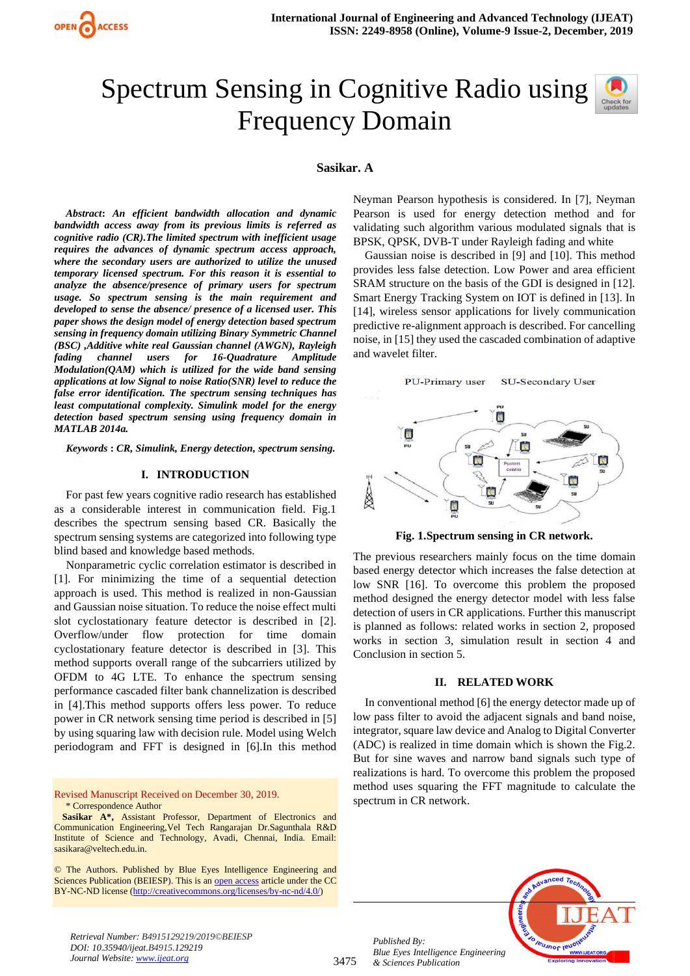

# Spectrum Sensing in Cognitive Radio using Frequency Domain



#### **Sasikar. A**

*Abstract***:** *An efficient bandwidth allocation and dynamic bandwidth access away from its previous limits is referred as cognitive radio (CR).The limited spectrum with inefficient usage requires the advances of dynamic spectrum access approach, where the secondary users are authorized to utilize the unused temporary licensed spectrum. For this reason it is essential to analyze the absence/presence of primary users for spectrum usage. So spectrum sensing is the main requirement and developed to sense the absence/ presence of a licensed user. This paper shows the design model of energy detection based spectrum sensing in frequency domain utilizing Binary Symmetric Channel (BSC) ,Additive white real Gaussian channel (AWGN), Rayleigh fading channel users for 16-Quadrature Amplitude Modulation(QAM) which is utilized for the wide band sensing applications at low Signal to noise Ratio(SNR) level to reduce the false error identification. The spectrum sensing techniques has least computational complexity. Simulink model for the energy detection based spectrum sensing using frequency domain in MATLAB 2014a.*

*Keywords* **:** *CR, Simulink, Energy detection, spectrum sensing.* 

## **I. INTRODUCTION**

For past few years cognitive radio research has established as a considerable interest in communication field. Fig.1 describes the spectrum sensing based CR. Basically the spectrum sensing systems are categorized into following type blind based and knowledge based methods.

Nonparametric cyclic correlation estimator is described in [1]. For minimizing the time of a sequential detection approach is used. This method is realized in non-Gaussian and Gaussian noise situation. To reduce the noise effect multi slot cyclostationary feature detector is described in [2]. Overflow/under flow protection for time domain cyclostationary feature detector is described in [3]. This method supports overall range of the subcarriers utilized by OFDM to 4G LTE. To enhance the spectrum sensing performance cascaded filter bank channelization is described in [4].This method supports offers less power. To reduce power in CR network sensing time period is described in [5] by using squaring law with decision rule. Model using Welch periodogram and FFT is designed in [6].In this method

Revised Manuscript Received on December 30, 2019. \* Correspondence Author

Neyman Pearson hypothesis is considered. In [7], Neyman Pearson is used for energy detection method and for validating such algorithm various modulated signals that is BPSK, QPSK, DVB-T under Rayleigh fading and white

Gaussian noise is described in [9] and [10]. This method provides less false detection. Low Power and area efficient SRAM structure on the basis of the GDI is designed in [12]. Smart Energy Tracking System on IOT is defined in [13]. In [14], wireless sensor applications for lively communication predictive re-alignment approach is described. For cancelling noise, in [15] they used the cascaded combination of adaptive and wavelet filter.



**Fig. 1.Spectrum sensing in CR network.**

The previous researchers mainly focus on the time domain based energy detector which increases the false detection at low SNR [16]. To overcome this problem the proposed method designed the energy detector model with less false detection of users in CR applications. Further this manuscript is planned as follows: related works in section 2, proposed works in section 3, simulation result in section 4 and Conclusion in section 5.

#### **II. RELATED WORK**

In conventional method [6] the energy detector made up of low pass filter to avoid the adjacent signals and band noise, integrator, square law device and Analog to Digital Converter (ADC) is realized in time domain which is shown the Fig.2. But for sine waves and narrow band signals such type of realizations is hard. To overcome this problem the proposed method uses squaring the FFT magnitude to calculate the spectrum in CR network.



*Retrieval Number: B4915129219/2019©BEIESP DOI: 10.35940/ijeat.B4915.129219 Journal Website[: www.ijeat.org](http://www.ijeat.org/)*

*Published By:*

*& Sciences Publication* 

**Sasikar A\*,** Assistant Professor, Department of Electronics and Communication Engineering,Vel Tech Rangarajan Dr.Sagunthala R&D Institute of Science and Technology, Avadi, Chennai, India. Email: sasikara@veltech.edu.in.

<sup>©</sup> The Authors. Published by Blue Eyes Intelligence Engineering and Sciences Publication (BEIESP). This is a[n open access](https://www.openaccess.nl/en/open-publications) article under the CC BY-NC-ND license [\(http://creativecommons.org/licenses/by-nc-nd/4.0/\)](http://creativecommons.org/licenses/by-nc-nd/4.0/)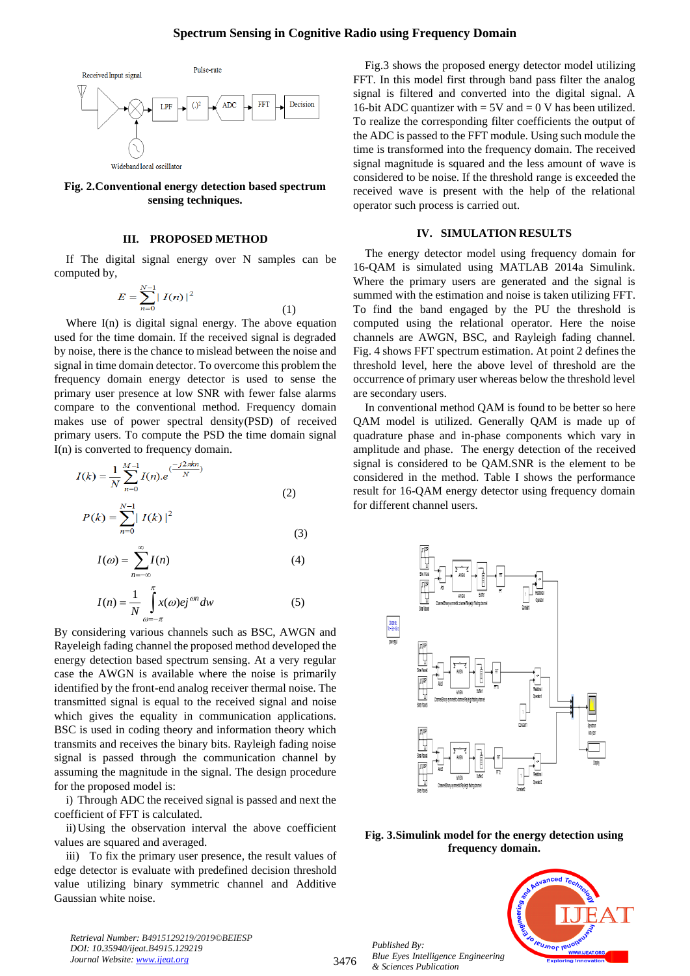# **Spectrum Sensing in Cognitive Radio using Frequency Domain**



## **Fig. 2.Conventional energy detection based spectrum sensing techniques.**

# **III. PROPOSED METHOD**

If The digital signal energy over N samples can be computed by,

$$
E = \sum_{n=0}^{N-1} |I(n)|^2
$$
 (1)

 Where I(n) is digital signal energy. The above equation used for the time domain. If the received signal is degraded by noise, there is the chance to mislead between the noise and signal in time domain detector. To overcome this problem the frequency domain energy detector is used to sense the primary user presence at low SNR with fewer false alarms compare to the conventional method. Frequency domain makes use of power spectral density(PSD) of received primary users. To compute the PSD the time domain signal I(n) is converted to frequency domain.

$$
I(k) = \frac{1}{N} \sum_{n=0}^{M-1} I(n).e^{\frac{(-j2\pi kn)}{N}}
$$
  
(2)  

$$
P(k) = \sum_{n=0}^{N-1} |I(k)|^2
$$
 (3)

$$
I(\omega) = \sum_{n=-\infty}^{\infty} I(n) \tag{4}
$$

$$
I(n) = \frac{1}{N} \int_{\omega = -\pi}^{\pi} x(\omega) ej^{\omega n} dw
$$
 (5)

By considering various channels such as BSC, AWGN and Rayeleigh fading channel the proposed method developed the energy detection based spectrum sensing. At a very regular case the AWGN is available where the noise is primarily identified by the front-end analog receiver thermal noise. The transmitted signal is equal to the received signal and noise which gives the equality in communication applications. BSC is used in coding theory and information theory which transmits and receives the binary bits. Rayleigh fading noise signal is passed through the communication channel by assuming the magnitude in the signal. The design procedure for the proposed model is:

i) Through ADC the received signal is passed and next the coefficient of FFT is calculated.

ii)Using the observation interval the above coefficient values are squared and averaged.

iii) To fix the primary user presence, the result values of edge detector is evaluate with predefined decision threshold value utilizing binary symmetric channel and Additive Gaussian white noise.

*Retrieval Number: B4915129219/2019©BEIESP DOI: 10.35940/ijeat.B4915.129219 Journal Website[: www.ijeat.org](http://www.ijeat.org/)*

Fig.3 shows the proposed energy detector model utilizing FFT. In this model first through band pass filter the analog signal is filtered and converted into the digital signal. A 16-bit ADC quantizer with  $= 5V$  and  $= 0 V$  has been utilized. To realize the corresponding filter coefficients the output of the ADC is passed to the FFT module. Using such module the time is transformed into the frequency domain. The received signal magnitude is squared and the less amount of wave is considered to be noise. If the threshold range is exceeded the received wave is present with the help of the relational operator such process is carried out.

#### **IV. SIMULATION RESULTS**

The energy detector model using frequency domain for 16-QAM is simulated using MATLAB 2014a Simulink. Where the primary users are generated and the signal is summed with the estimation and noise is taken utilizing FFT. To find the band engaged by the PU the threshold is computed using the relational operator. Here the noise channels are AWGN, BSC, and Rayleigh fading channel. Fig. 4 shows FFT spectrum estimation. At point 2 defines the threshold level, here the above level of threshold are the occurrence of primary user whereas below the threshold level are secondary users.

In conventional method QAM is found to be better so here QAM model is utilized. Generally QAM is made up of quadrature phase and in-phase components which vary in amplitude and phase. The energy detection of the received signal is considered to be QAM.SNR is the element to be considered in the method. Table I shows the performance result for 16-QAM energy detector using frequency domain for different channel users.



# **Fig. 3.Simulink model for the energy detection using frequency domain.**

*Published By: Blue Eyes Intelligence Engineering & Sciences Publication* 



3476